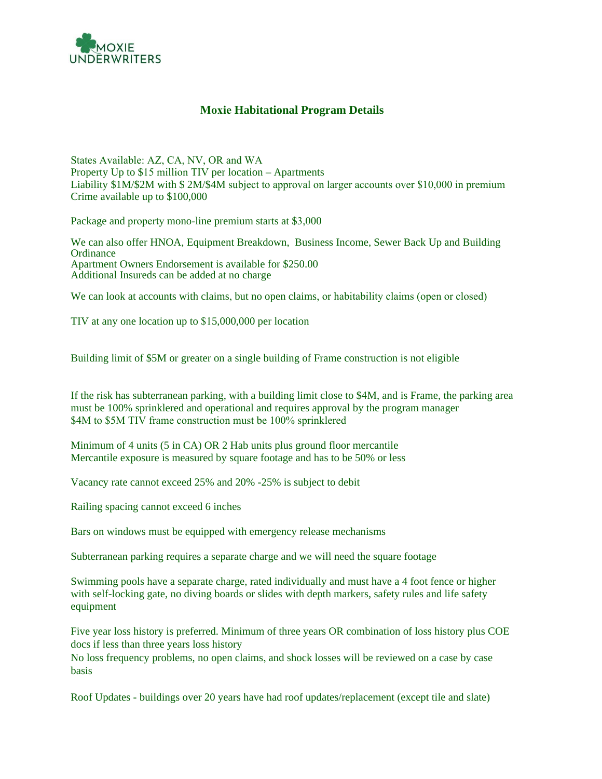

## **Moxie Habitational Program Details**

States Available: AZ, CA, NV, OR and WA Property Up to \$15 million TIV per location – Apartments Liability \$1M/\$2M with \$ 2M/\$4M subject to approval on larger accounts over \$10,000 in premium Crime available up to \$100,000

Package and property mono-line premium starts at \$3,000

We can also offer HNOA, Equipment Breakdown, Business Income, Sewer Back Up and Building **Ordinance** Apartment Owners Endorsement is available for \$250.00 Additional Insureds can be added at no charge

We can look at accounts with claims, but no open claims, or habitability claims (open or closed)

TIV at any one location up to \$15,000,000 per location

Building limit of \$5M or greater on a single building of Frame construction is not eligible

If the risk has subterranean parking, with a building limit close to \$4M, and is Frame, the parking area must be 100% sprinklered and operational and requires approval by the program manager \$4M to \$5M TIV frame construction must be 100% sprinklered

Minimum of 4 units (5 in CA) OR 2 Hab units plus ground floor mercantile Mercantile exposure is measured by square footage and has to be 50% or less

Vacancy rate cannot exceed 25% and 20% -25% is subject to debit

Railing spacing cannot exceed 6 inches

Bars on windows must be equipped with emergency release mechanisms

Subterranean parking requires a separate charge and we will need the square footage

Swimming pools have a separate charge, rated individually and must have a 4 foot fence or higher with self-locking gate, no diving boards or slides with depth markers, safety rules and life safety equipment

Five year loss history is preferred. Minimum of three years OR combination of loss history plus COE docs if less than three years loss history

No loss frequency problems, no open claims, and shock losses will be reviewed on a case by case basis

Roof Updates - buildings over 20 years have had roof updates/replacement (except tile and slate)